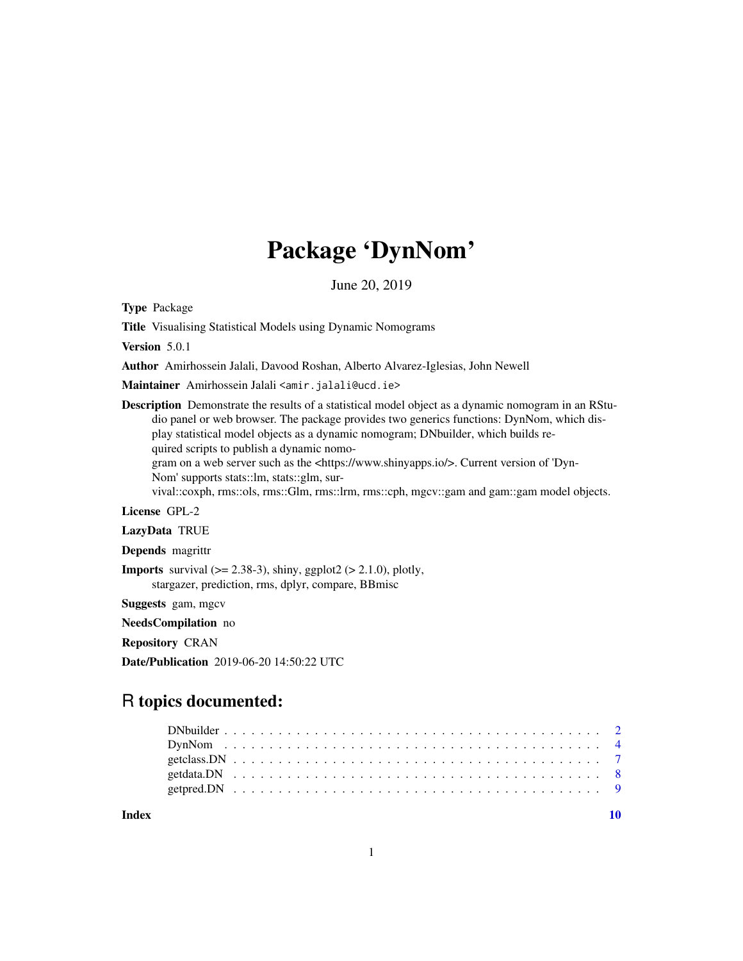# Package 'DynNom'

June 20, 2019

Type Package

Title Visualising Statistical Models using Dynamic Nomograms

Version 5.0.1

Author Amirhossein Jalali, Davood Roshan, Alberto Alvarez-Iglesias, John Newell

Maintainer Amirhossein Jalali <amir.jalali@ucd.ie>

Description Demonstrate the results of a statistical model object as a dynamic nomogram in an RStudio panel or web browser. The package provides two generics functions: DynNom, which display statistical model objects as a dynamic nomogram; DNbuilder, which builds required scripts to publish a dynamic nomo-

gram on a web server such as the <https://www.shinyapps.io/>. Current version of 'Dyn-Nom' supports stats::lm, stats::glm, sur-

vival::coxph, rms::ols, rms::Glm, rms::lrm, rms::cph, mgcv::gam and gam::gam model objects.

#### License GPL-2

LazyData TRUE

Depends magrittr

**Imports** survival  $(>= 2.38-3)$ , shiny, ggplot2  $(>= 2.1.0)$ , plotly, stargazer, prediction, rms, dplyr, compare, BBmisc

Suggests gam, mgcv

NeedsCompilation no

Repository CRAN

Date/Publication 2019-06-20 14:50:22 UTC

# R topics documented:

 $\blacksquare$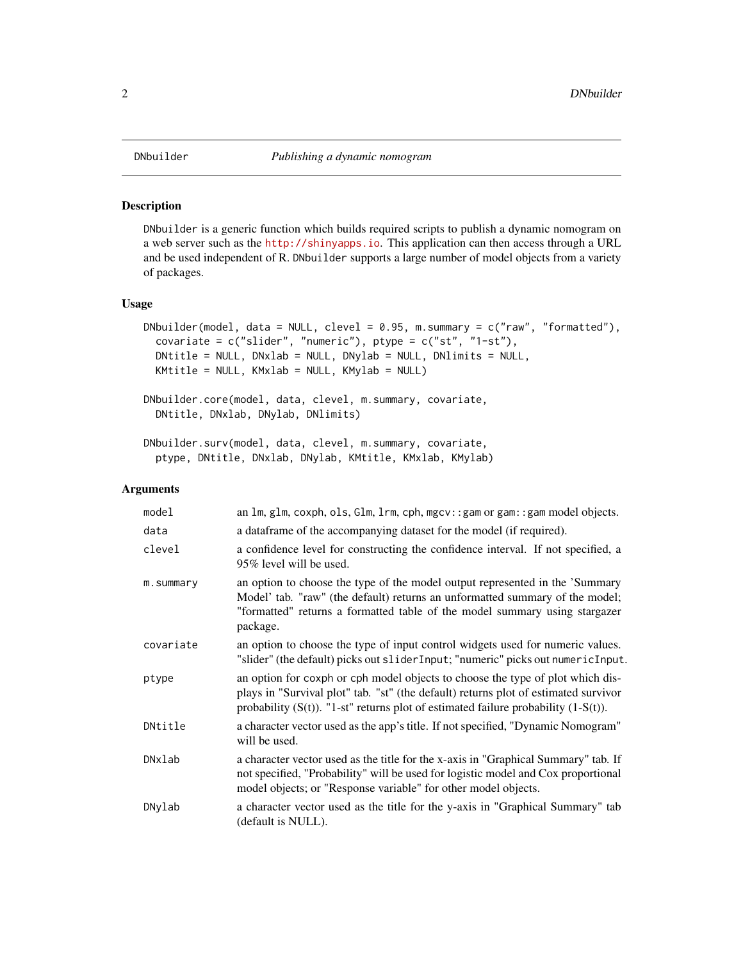# Description

DNbuilder is a generic function which builds required scripts to publish a dynamic nomogram on a web server such as the <http://shinyapps.io>. This application can then access through a URL and be used independent of R. DNbuilder supports a large number of model objects from a variety of packages.

#### Usage

```
DNbuilder(model, data = NULL, clevel = 0.95, m.summary = c("raw", "formatted"),covariate = c("slicher", "numeric"), ptype = c("st", "1-st"),DNtitle = NULL, DNxlab = NULL, DNylab = NULL, DNlimits = NULL,
 KMtitle = NULL, KMxlab = NULL, KMylab = NULL)
```

```
DNbuilder.core(model, data, clevel, m.summary, covariate,
 DNtitle, DNxlab, DNylab, DNlimits)
```

```
DNbuilder.surv(model, data, clevel, m.summary, covariate,
 ptype, DNtitle, DNxlab, DNylab, KMtitle, KMxlab, KMylab)
```
#### Arguments

| model     | an 1m, g1m, coxph, o1s, G1m, 1rm, cph, mgcv:: gam or gam:: gam model objects.                                                                                                                                                                                     |
|-----------|-------------------------------------------------------------------------------------------------------------------------------------------------------------------------------------------------------------------------------------------------------------------|
| data      | a dataframe of the accompanying dataset for the model (if required).                                                                                                                                                                                              |
| clevel    | a confidence level for constructing the confidence interval. If not specified, a<br>95% level will be used.                                                                                                                                                       |
| m.summary | an option to choose the type of the model output represented in the 'Summary<br>Model' tab. "raw" (the default) returns an unformatted summary of the model;<br>"formatted" returns a formatted table of the model summary using stargazer<br>package.            |
| covariate | an option to choose the type of input control widgets used for numeric values.<br>"slider" (the default) picks out sliderInput; "numeric" picks out numericInput.                                                                                                 |
| ptype     | an option for coxph or cph model objects to choose the type of plot which dis-<br>plays in "Survival plot" tab. "st" (the default) returns plot of estimated survivor<br>probability $(S(t))$ . "1-st" returns plot of estimated failure probability $(1-S(t))$ . |
| DNtitle   | a character vector used as the app's title. If not specified, "Dynamic Nomogram"<br>will be used.                                                                                                                                                                 |
| DNxlab    | a character vector used as the title for the x-axis in "Graphical Summary" tab. If<br>not specified, "Probability" will be used for logistic model and Cox proportional<br>model objects; or "Response variable" for other model objects.                         |
| DNylab    | a character vector used as the title for the y-axis in "Graphical Summary" tab<br>(default is NULL).                                                                                                                                                              |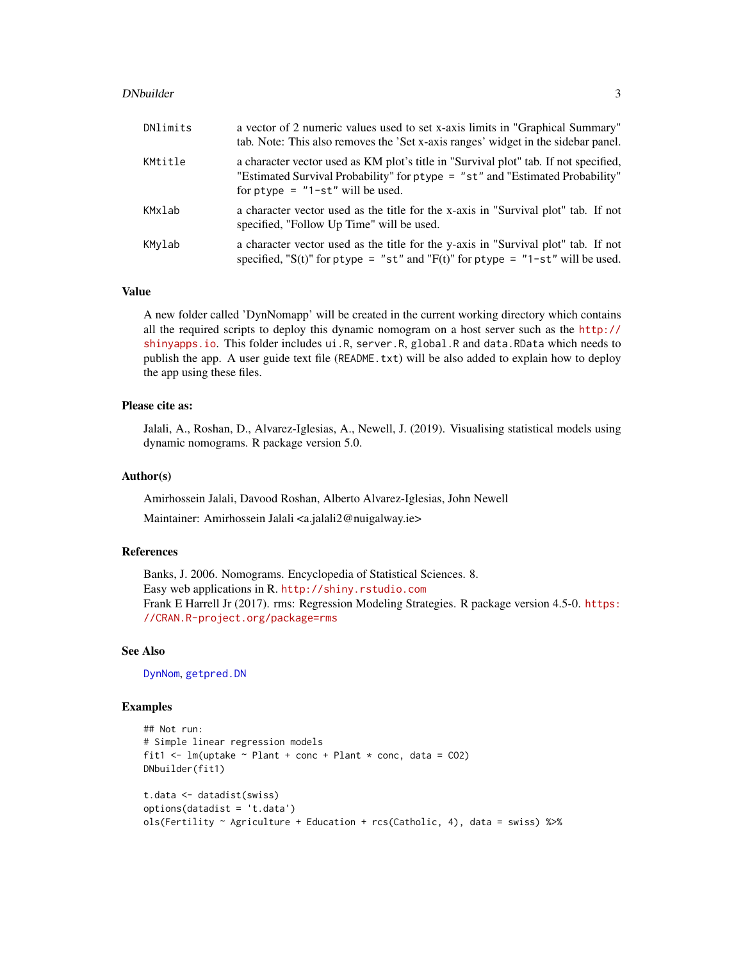#### <span id="page-2-0"></span>DNbuilder 3

| DNlimits | a vector of 2 numeric values used to set x-axis limits in "Graphical Summary"<br>tab. Note: This also removes the 'Set x-axis ranges' widget in the sidebar panel.                                          |
|----------|-------------------------------------------------------------------------------------------------------------------------------------------------------------------------------------------------------------|
| KMtitle  | a character vector used as KM plot's title in "Survival plot" tab. If not specified,<br>"Estimated Survival Probability" for ptype = "st" and "Estimated Probability"<br>for $ptype = "1-st"$ will be used. |
| KMxlab   | a character vector used as the title for the x-axis in "Survival plot" tab. If not<br>specified, "Follow Up Time" will be used.                                                                             |
| KMylab   | a character vector used as the title for the y-axis in "Survival plot" tab. If not<br>specified, "S(t)" for ptype = "st" and "F(t)" for ptype = "1-st" will be used.                                        |

#### Value

A new folder called 'DynNomapp' will be created in the current working directory which contains all the required scripts to deploy this dynamic nomogram on a host server such as the [http://](http://shinyapps.io) [shinyapps.io](http://shinyapps.io). This folder includes ui.R, server.R, global.R and data.RData which needs to publish the app. A user guide text file (README.txt) will be also added to explain how to deploy the app using these files.

#### Please cite as:

Jalali, A., Roshan, D., Alvarez-Iglesias, A., Newell, J. (2019). Visualising statistical models using dynamic nomograms. R package version 5.0.

#### Author(s)

Amirhossein Jalali, Davood Roshan, Alberto Alvarez-Iglesias, John Newell

Maintainer: Amirhossein Jalali <a.jalali2@nuigalway.ie>

# References

Banks, J. 2006. Nomograms. Encyclopedia of Statistical Sciences. 8. Easy web applications in R. <http://shiny.rstudio.com> Frank E Harrell Jr (2017). rms: Regression Modeling Strategies. R package version 4.5-0. [https:](https://CRAN.R-project.org/package=rms) [//CRAN.R-project.org/package=rms](https://CRAN.R-project.org/package=rms)

# See Also

[DynNom](#page-3-1), [getpred.DN](#page-8-1)

#### Examples

```
## Not run:
# Simple linear regression models
fit1 <- lm(uptake \sim Plant + conc + Plant * conc, data = CO2)
DNbuilder(fit1)
t.data <- datadist(swiss)
options(datadist = 't.data')
ols(Fertility ~ Agriculture + Education + rcs(Catholic, 4), data = swiss) %>%
```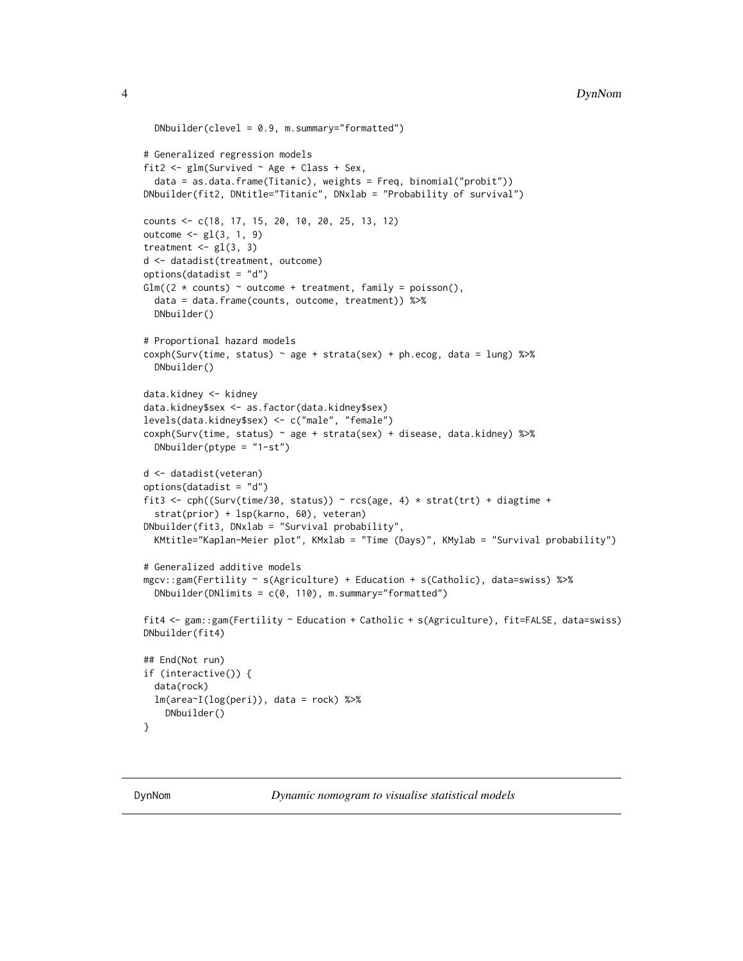```
DNbuilder(clevel = 0.9, m.summary="formatted")
# Generalized regression models
fit2 \leq glm(Survived \sim Age + Class + Sex,
 data = as.data.frame(Titanic), weights = Freq, binomial("probit"))
DNbuilder(fit2, DNtitle="Titanic", DNxlab = "Probability of survival")
counts <- c(18, 17, 15, 20, 10, 20, 25, 13, 12)
outcome \leq gl(3, 1, 9)
treatment \leq gl(3, 3)
d <- datadist(treatment, outcome)
options(datadist = "d")
Glm((2 * counts) ~ ~ outcome + treatment, family = poisson(),data = data.frame(counts, outcome, treatment)) %>%
 DNbuilder()
# Proportional hazard models
coxph(Surv(time, status) ~ age + strata(sex) + ph.ecog, data = lung) %\gg%
 DNbuilder()
data.kidney <- kidney
data.kidney$sex <- as.factor(data.kidney$sex)
levels(data.kidney$sex) <- c("male", "female")
coxph(Surv(time, status) ~ age + strata(sex) + disease, data.kidney) %>%
 DNbuilder(ptype = "1-st")
d <- datadist(veteran)
options(datadist = "d")
fit3 <- cph((Surv(time/30, status)) ~ rcs(age, 4) * strat(trt) + diagtime +
 strat(prior) + lsp(karno, 60), veteran)
DNbuilder(fit3, DNxlab = "Survival probability",
 KMtitle="Kaplan-Meier plot", KMxlab = "Time (Days)", KMylab = "Survival probability")
# Generalized additive models
mgcv::gam(Fertility ~ s(Agriculture) + Education + s(Catholic), data=swiss) %>%
 DNbuilder(DNlimits = c(0, 110), m.summary="formatted")
fit4 <- gam::gam(Fertility ~ Education + Catholic + s(Agriculture), fit=FALSE, data=swiss)
DNbuilder(fit4)
## End(Not run)
if (interactive()) {
 data(rock)
 lm(area~I(log(peri)), data = rock) %>%
    DNbuilder()
}
```
<span id="page-3-1"></span>

DynNom *Dynamic nomogram to visualise statistical models*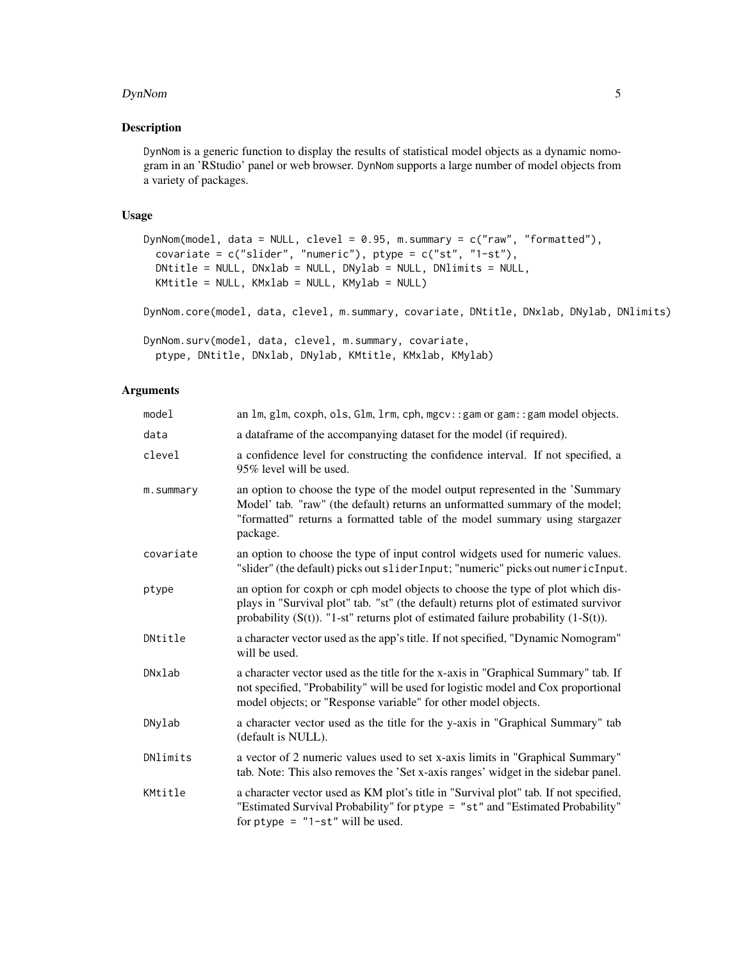#### DynNom 5

# Description

DynNom is a generic function to display the results of statistical model objects as a dynamic nomogram in an 'RStudio' panel or web browser. DynNom supports a large number of model objects from a variety of packages.

# Usage

```
DynNom(model, data = NULL, clevel = 0.95, m.summary = c("raw", "formatted"),
  covariate = c("slicher", "numeric"), <i>ptype</i> = <math>c("st", "1-st"),</math>DNtitle = NULL, DNxlab = NULL, DNylab = NULL, DNlimits = NULL,
 KMtitle = NULL, KMxlab = NULL, KMylab = NULL)
```
DynNom.core(model, data, clevel, m.summary, covariate, DNtitle, DNxlab, DNylab, DNlimits)

```
DynNom.surv(model, data, clevel, m.summary, covariate,
 ptype, DNtitle, DNxlab, DNylab, KMtitle, KMxlab, KMylab)
```
# Arguments

| model     | an $\text{Im}, \text{glm}, \text{cosh}, \text{ols}, \text{Glm}, \text{lrm}, \text{cph}, \text{mgcv}: \text{gam or gam}: \text{gam model objects}.$                                                                                                                |
|-----------|-------------------------------------------------------------------------------------------------------------------------------------------------------------------------------------------------------------------------------------------------------------------|
| data      | a dataframe of the accompanying dataset for the model (if required).                                                                                                                                                                                              |
| clevel    | a confidence level for constructing the confidence interval. If not specified, a<br>95% level will be used.                                                                                                                                                       |
| m.summary | an option to choose the type of the model output represented in the 'Summary<br>Model' tab. "raw" (the default) returns an unformatted summary of the model;<br>"formatted" returns a formatted table of the model summary using stargazer<br>package.            |
| covariate | an option to choose the type of input control widgets used for numeric values.<br>"slider" (the default) picks out sliderInput; "numeric" picks out numericInput.                                                                                                 |
| ptype     | an option for coxph or cph model objects to choose the type of plot which dis-<br>plays in "Survival plot" tab. "st" (the default) returns plot of estimated survivor<br>probability $(S(t))$ . "1-st" returns plot of estimated failure probability $(1-S(t))$ . |
| DNtitle   | a character vector used as the app's title. If not specified, "Dynamic Nomogram"<br>will be used.                                                                                                                                                                 |
| DNxlab    | a character vector used as the title for the x-axis in "Graphical Summary" tab. If<br>not specified, "Probability" will be used for logistic model and Cox proportional<br>model objects; or "Response variable" for other model objects.                         |
| DNylab    | a character vector used as the title for the y-axis in "Graphical Summary" tab<br>(default is NULL).                                                                                                                                                              |
| DNlimits  | a vector of 2 numeric values used to set x-axis limits in "Graphical Summary"<br>tab. Note: This also removes the 'Set x-axis ranges' widget in the sidebar panel.                                                                                                |
| KMtitle   | a character vector used as KM plot's title in "Survival plot" tab. If not specified,<br>"Estimated Survival Probability" for ptype = "st" and "Estimated Probability"<br>for $ptype = "1-st"$ will be used.                                                       |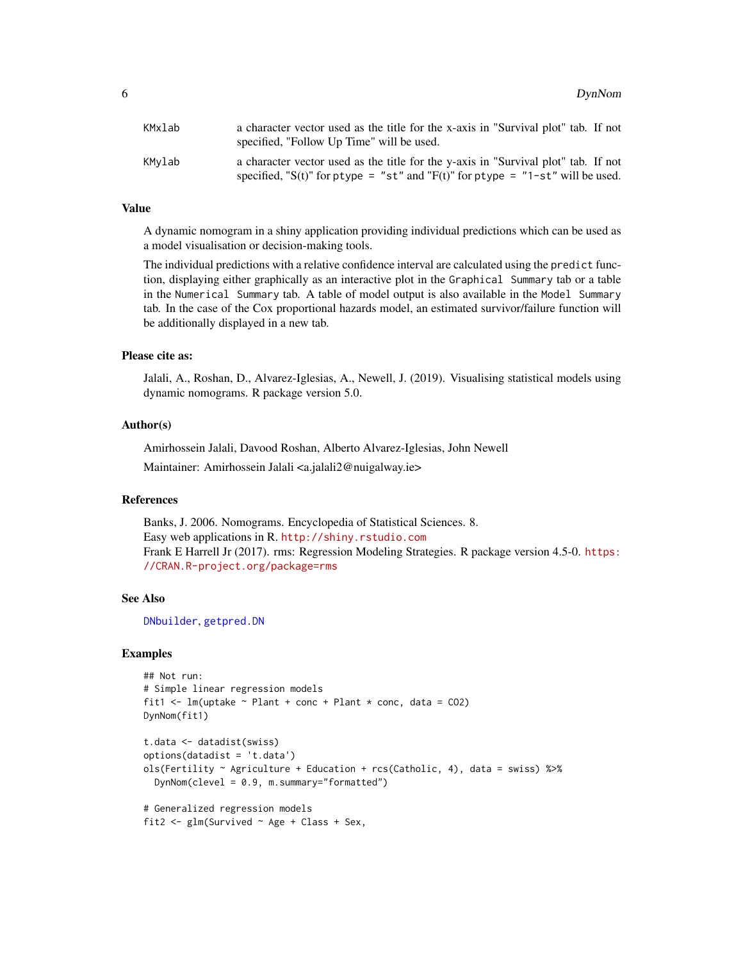<span id="page-5-0"></span>

| KMxlab | a character vector used as the title for the x-axis in "Survival plot" tab. If not<br>specified, "Follow Up Time" will be used.                                      |
|--------|----------------------------------------------------------------------------------------------------------------------------------------------------------------------|
| KMvlab | a character vector used as the title for the y-axis in "Survival plot" tab. If not<br>specified, "S(t)" for ptype = "st" and "F(t)" for ptype = "1-st" will be used. |

#### Value

A dynamic nomogram in a shiny application providing individual predictions which can be used as a model visualisation or decision-making tools.

The individual predictions with a relative confidence interval are calculated using the predict function, displaying either graphically as an interactive plot in the Graphical Summary tab or a table in the Numerical Summary tab. A table of model output is also available in the Model Summary tab. In the case of the Cox proportional hazards model, an estimated survivor/failure function will be additionally displayed in a new tab.

#### Please cite as:

Jalali, A., Roshan, D., Alvarez-Iglesias, A., Newell, J. (2019). Visualising statistical models using dynamic nomograms. R package version 5.0.

#### Author(s)

Amirhossein Jalali, Davood Roshan, Alberto Alvarez-Iglesias, John Newell Maintainer: Amirhossein Jalali <a.jalali2@nuigalway.ie>

### References

Banks, J. 2006. Nomograms. Encyclopedia of Statistical Sciences. 8. Easy web applications in R. <http://shiny.rstudio.com> Frank E Harrell Jr (2017). rms: Regression Modeling Strategies. R package version 4.5-0. [https:](https://CRAN.R-project.org/package=rms) [//CRAN.R-project.org/package=rms](https://CRAN.R-project.org/package=rms)

#### See Also

[DNbuilder](#page-1-1), [getpred.DN](#page-8-1)

#### Examples

```
## Not run:
# Simple linear regression models
fit1 <- lm(uptake ~ Plant + conc + Plant * conc, data = CO2)
DynNom(fit1)
t.data <- datadist(swiss)
options(datadist = 't.data')
ols(Fertility ~ Agriculture + Education + rcs(Catholic, 4), data = swiss) %>%
 DynNom(clevel = 0.9, m.summary="formatted")
# Generalized regression models
fit2 <- glm(Survived ~ Age + Class + Sex,
```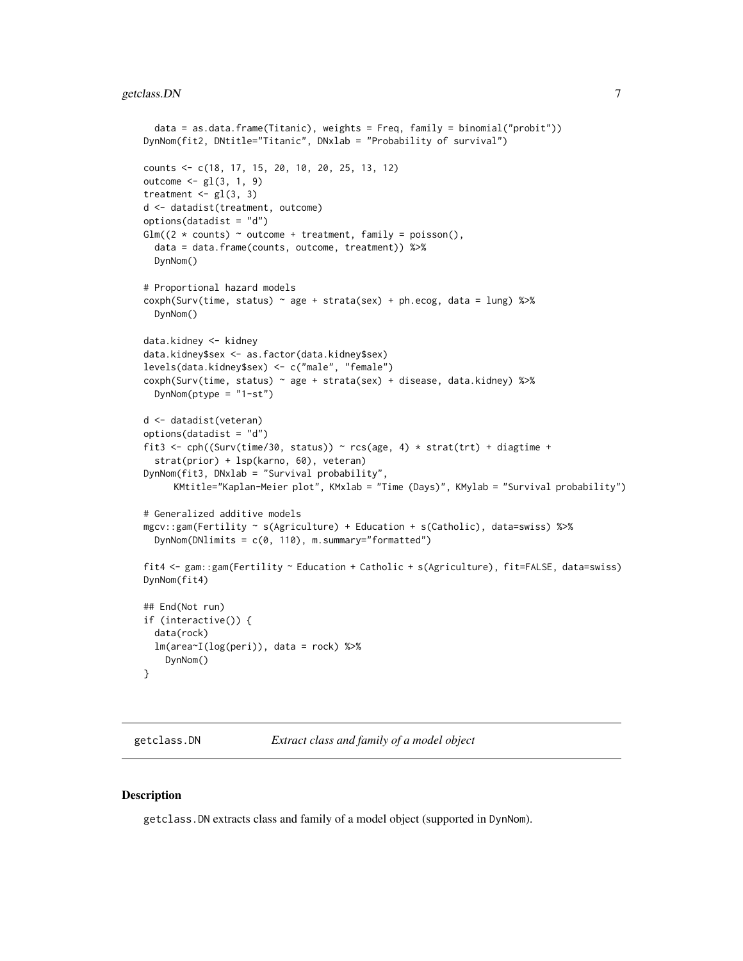# <span id="page-6-0"></span>getclass.DN 7

```
data = as.data.frame(Titanic), weights = Freq, family = binomial("probit"))
DynNom(fit2, DNtitle="Titanic", DNxlab = "Probability of survival")
counts <- c(18, 17, 15, 20, 10, 20, 25, 13, 12)
outcome \leq gl(3, 1, 9)
treatment \leq gl(3, 3)
d <- datadist(treatment, outcome)
options(datadist = "d")
Glm((2 * counts) ~ ~ outcome + treatment, family = poisson(),data = data.frame(counts, outcome, treatment)) %>%
 DynNom()
# Proportional hazard models
coxph(Surv(time, status) \sim age + strata(sex) + ph.ecog, data = lung) %\gg%
 DynNom()
data.kidney <- kidney
data.kidney$sex <- as.factor(data.kidney$sex)
levels(data.kidney$sex) <- c("male", "female")
coxph(Surv(time, status) ~ age + strata(sex) + disease, data.kidney) %>%
 DynNom(ptype = "1-st")
d <- datadist(veteran)
options(datadist = "d")
fit3 <- cph((Surv(time/30, status)) ~ rcs(age, 4) * strat(trt) + diagramstrat(prior) + lsp(karno, 60), veteran)
DynNom(fit3, DNxlab = "Survival probability",
     KMtitle="Kaplan-Meier plot", KMxlab = "Time (Days)", KMylab = "Survival probability")
# Generalized additive models
mgcv::gam(Fertility ~ s(Agriculture) + Education + s(Catholic), data=swiss) %>%
 DynNom(DNlimits = c(0, 110), m.summary="formatted")
fit4 <- gam::gam(Fertility ~ Education + Catholic + s(Agriculture), fit=FALSE, data=swiss)
DynNom(fit4)
## End(Not run)
if (interactive()) {
 data(rock)
 lm(area<sup>-1</sup>(log(peri)), data = rock) %>%
    DynNom()
}
```
getclass.DN *Extract class and family of a model object*

#### Description

getclass.DN extracts class and family of a model object (supported in DynNom).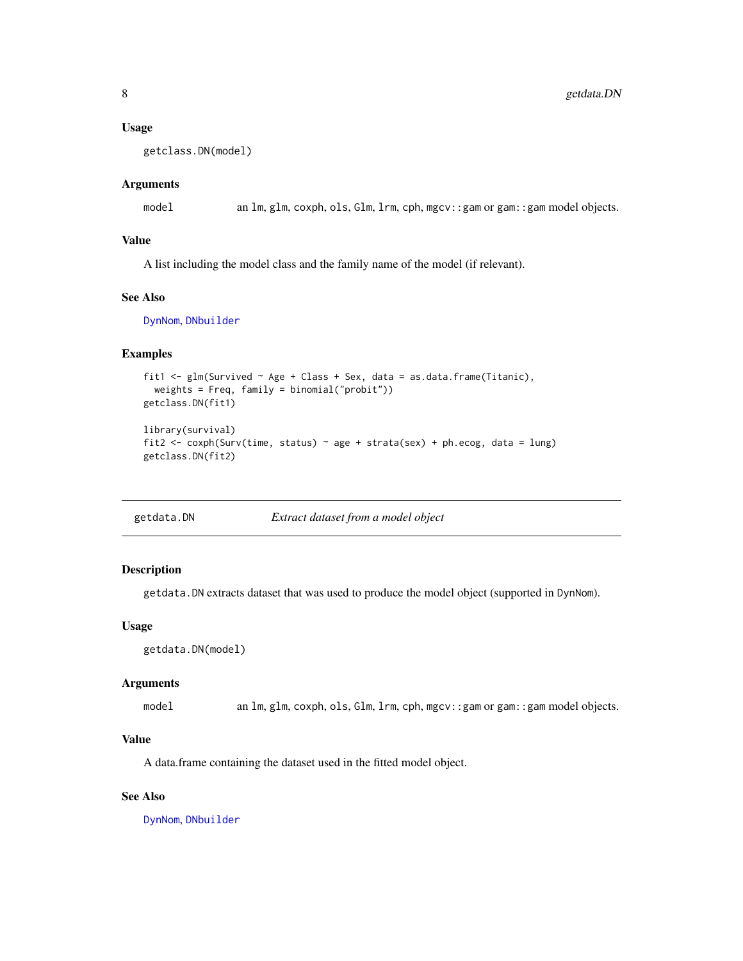#### <span id="page-7-0"></span>Usage

```
getclass.DN(model)
```
#### Arguments

model an lm, glm, coxph, ols, Glm, lrm, cph, mgcv::gam or gam::gam model objects.

# Value

A list including the model class and the family name of the model (if relevant).

## See Also

[DynNom](#page-3-1), [DNbuilder](#page-1-1)

# Examples

```
fit1 <- glm(Survived ~ Age + Class + Sex, data = as.data.frame(Titanic),
  weights = Freq, family = binomial("probit"))
getclass.DN(fit1)
library(survival)
fit2 <- coxph(Surv(time, status) ~ age + strata(sex) + ph.ecog, data = lung)
getclass.DN(fit2)
```
getdata.DN *Extract dataset from a model object*

# Description

getdata.DN extracts dataset that was used to produce the model object (supported in DynNom).

# Usage

```
getdata.DN(model)
```
#### Arguments

model an lm, glm, coxph, ols, Glm, lrm, cph, mgcv::gam or gam::gam model objects.

#### Value

A data.frame containing the dataset used in the fitted model object.

# See Also

[DynNom](#page-3-1), [DNbuilder](#page-1-1)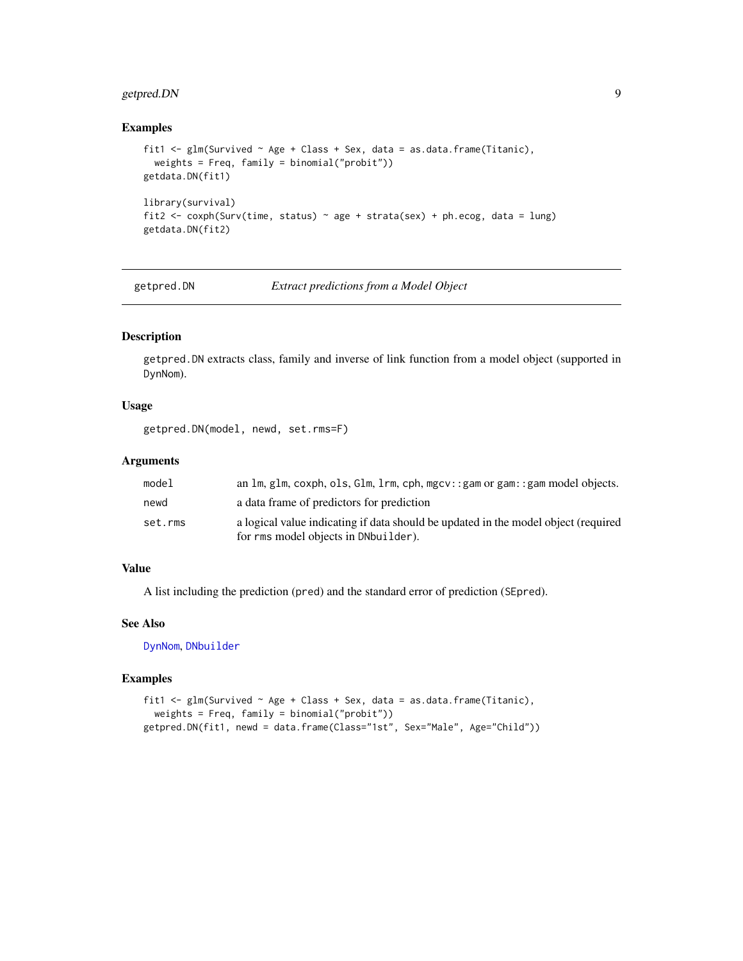# <span id="page-8-0"></span>getpred.DN 9

# Examples

```
fit1 <- glm(Survived ~ Age ~t Class ~Sex, data = as.data-frame(Titanic),weights = Freq, family = binomial("probit"))
getdata.DN(fit1)
library(survival)
fit2 <- coxph(Surv(time, status) ~ age + strata(sex) + ph.ecog, data = lung)
getdata.DN(fit2)
```
<span id="page-8-1"></span>

getpred.DN *Extract predictions from a Model Object*

#### Description

getpred.DN extracts class, family and inverse of link function from a model object (supported in DynNom).

#### Usage

getpred.DN(model, newd, set.rms=F)

# Arguments

| model   | an $\text{Im}, \text{glm}, \text{coxph}, \text{ols}, \text{Glm}, \text{lrm}, \text{cph}, \text{mgcv}: \text{gam or gam}: \text{gam model objects}.$ |
|---------|-----------------------------------------------------------------------------------------------------------------------------------------------------|
| newd    | a data frame of predictors for prediction                                                                                                           |
| set.rms | a logical value indicating if data should be updated in the model object (required                                                                  |
|         | for rms model objects in DNbuilder).                                                                                                                |

# Value

A list including the prediction (pred) and the standard error of prediction (SEpred).

# See Also

[DynNom](#page-3-1), [DNbuilder](#page-1-1)

#### Examples

```
fit1 <- glm(Survived ~ Age + Class + Sex, data = as.data.frame(Titanic),
  weights = Freq, family = binomial("probit"))
getpred.DN(fit1, newd = data.frame(Class="1st", Sex="Male", Age="Child"))
```